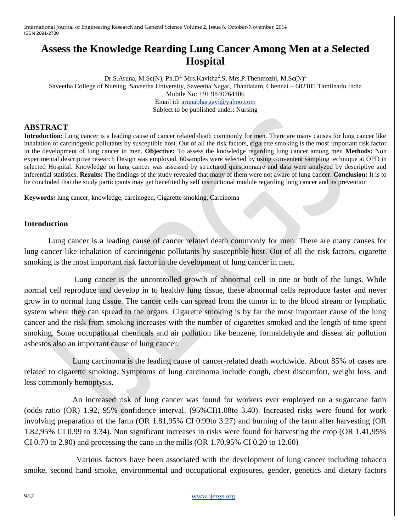# **Assess the Knowledge Rearding Lung Cancer Among Men at a Selected Hospital**

Dr.S.Aruna, M.Sc(N), Ph.D<sup>1,</sup> Mrs.Kavitha<sup>2</sup>.S, Mrs.P.Thenmozhi, M.Sc(N)<sup>3</sup> Saveetha College of Nursing, Saveetha University, Saveetha Nagar, Thandalam, Chennai – 602105 Tamilnadu India Mobile No: +91 9840764106 Email id: [arunabhargavi@yahoo.com](mailto:arunabhargavi@yahoo.com) Subject to be published under: Nursing

## **ABSTRACT**

**Introduction:** Lung cancer is a leading cause of cancer related death commonly for men. There are many causes for lung cancer like inhalation of carcinogenic pollutants by susceptible host. Out of all the risk factors, cigarette smoking is the most important risk factor in the development of lung cancer in men. **Objective:** To assess the knowledge regarding lung cancer among men **Methods:** Non experimental descriptive research Design was employed. 60samples were selected by using convenient sampling technique at OPD in selected Hospital. Knowledge on lung cancer was assessed by structured questionnaire and data were analyzed by descriptive and inferential statistics. **Results:** The findings of the study revealed that many of them were not aware of lung cancer. **Conclusion:** It is to be concluded that the study participants may get benefited by self instructional module regarding lung cancer and its prevention

**Keywords:** lung cancer, knowledge, carcinogen, Cigarette smoking, Carcinoma

## **Introduction**

Lung cancer is a leading cause of cancer related death commonly for men. There are many causes for lung cancer like inhalation of carcinogenic pollutants by susceptible host. Out of all the risk factors, cigarette smoking is the most important risk factor in the development of lung cancer in men.

Lung cancer is the uncontrolled growth of abnormal cell in one or both of the lungs. While normal cell reproduce and develop in to healthy lung tissue, these abnormal cells reproduce faster and never grow in to normal lung tissue. The cancer cells can spread from the tumor in to the blood stream or lymphatic system where they can spread to the organs. Cigarette smoking is by far the most important cause of the lung cancer and the risk from smoking increases with the number of cigarettes smoked and the length of time spent smoking. Some occupational chemicals and air pollution like benzene, formaldehyde and disseat air pollution asbestos also an important cause of lung cancer.

 Lung carcinoma is the leading cause of cancer-related death worldwide. About 85% of cases are related to cigarette smoking. Symptoms of lung carcinoma include cough, chest discomfort, weight loss, and less commonly hemoptysis.

 An increased risk of lung cancer was found for workers ever employed on a sugarcane farm (odds ratio (OR) 1.92, 95% confidence interval. (95%CI)1.08to 3.40). Increased risks were found for work involving preparation of the farm (OR 1.81,95% CI 0.99to 3.27) and burning of the farm after harvesting (OR 1.82,95% CI 0.99 to 3.34). Non significant increases in risks were found for harvesting the crop (OR 1.41,95% CI 0.70 to 2.90) and processing the cane in the mills (OR 1.70,95% CI 0.20 to 12.60)

 Various factors have been associated with the development of lung cancer including tobacco smoke, second hand smoke, environmental and occupational exposures, gender, genetics and dietary factors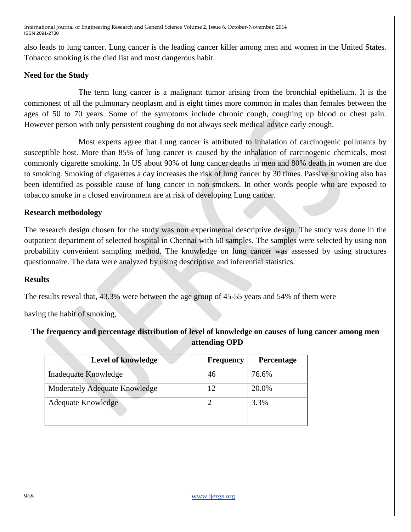also leads to lung cancer. Lung cancer is the leading cancer killer among men and women in the United States. Tobacco smoking is the died list and most dangerous habit.

## **Need for the Study**

 The term lung cancer is a malignant tumor arising from the bronchial epithelium. It is the commonest of all the pulmonary neoplasm and is eight times more common in males than females between the ages of 50 to 70 years. Some of the symptoms include chronic cough, coughing up blood or chest pain. However person with only persistent coughing do not always seek medical advice early enough.

 Most experts agree that Lung cancer is attributed to inhalation of carcinogenic pollutants by susceptible host. More than 85% of lung cancer is caused by the inhalation of carcinogenic chemicals, most commonly cigarette smoking. In US about 90% of lung cancer deaths in men and 80% death in women are due to smoking. Smoking of cigarettes a day increases the risk of lung cancer by 30 times. Passive smoking also has been identified as possible cause of lung cancer in non smokers. In other words people who are exposed to tobacco smoke in a closed environment are at risk of developing Lung cancer.

## **Research methodology**

The research design chosen for the study was non experimental descriptive design. The study was done in the outpatient department of selected hospital in Chennai with 60 samples. The samples were selected by using non probability convenient sampling method. The knowledge on lung cancer was assessed by using structures questionnaire. The data were analyzed by using descriptive and inferential statistics.

## **Results**

The results reveal that, 43.3% were between the age group of 45-55 years and 54% of them were

having the habit of smoking,

## **The frequency and percentage distribution of level of knowledge on causes of lung cancer among men attending OPD**

| Level of knowledge            | <b>Frequency</b> | <b>Percentage</b> |
|-------------------------------|------------------|-------------------|
| Inadequate Knowledge          | 46               | 76.6%             |
| Moderately Adequate Knowledge | 12               | 20.0%             |
| <b>Adequate Knowledge</b>     |                  | 3.3%              |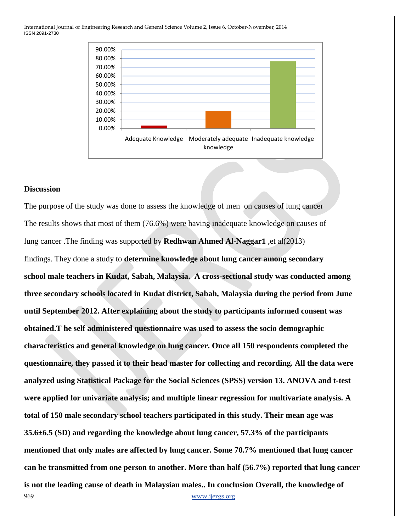

### **Discussion**

969 www.ijergs.org The purpose of the study was done to assess the knowledge of men on causes of lung cancer The results shows that most of them (76.6%) were having inadequate knowledge on causes of lung cancer .The finding was supported by **Redhwan Ahmed Al-Naggar1** ,et al(2013) findings. They done a study to **determine knowledge about lung cancer among secondary school male teachers in Kudat, Sabah, Malaysia. A cross-sectional study was conducted among three secondary schools located in Kudat district, Sabah, Malaysia during the period from June until September 2012. After explaining about the study to participants informed consent was obtained.T he self administered questionnaire was used to assess the socio demographic characteristics and general knowledge on lung cancer. Once all 150 respondents completed the questionnaire, they passed it to their head master for collecting and recording. All the data were analyzed using Statistical Package for the Social Sciences (SPSS) version 13. ANOVA and t-test were applied for univariate analysis; and multiple linear regression for multivariate analysis. A total of 150 male secondary school teachers participated in this study. Their mean age was 35.6±6.5 (SD) and regarding the knowledge about lung cancer, 57.3% of the participants mentioned that only males are affected by lung cancer. Some 70.7% mentioned that lung cancer can be transmitted from one person to another. More than half (56.7%) reported that lung cancer is not the leading cause of death in Malaysian males.. In conclusion Overall, the knowledge of**